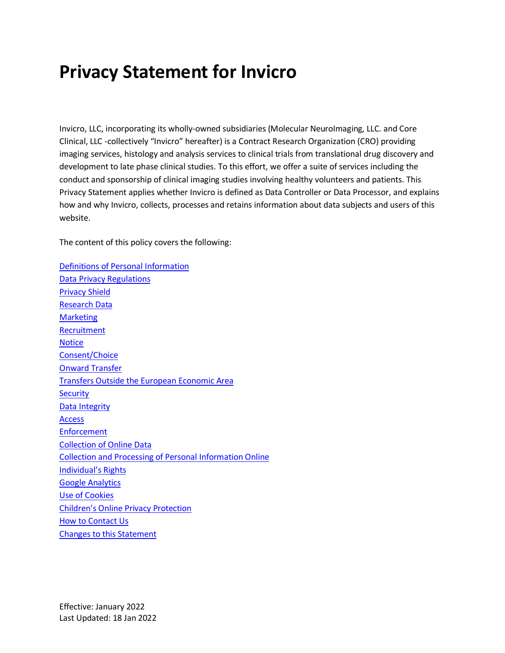# **Privacy Statement for Invicro**

Invicro, LLC, incorporating its wholly-owned subsidiaries (Molecular NeuroImaging, LLC. and Core Clinical, LLC -collectively "Invicro" hereafter) is a Contract Research Organization (CRO) providing imaging services, histology and analysis services to clinical trials from translational drug discovery and development to late phase clinical studies. To this effort, we offer a suite of services including the conduct and sponsorship of clinical imaging studies involving healthy volunteers and patients. This Privacy Statement applies whether Invicro is defined as Data Controller or Data Processor, and explains how and why Invicro, collects, processes and retains information about data subjects and users of this website.

The content of this policy covers the following:

Definitions of Personal Information [Data Privacy Regulations](#page-1-0) [Privacy Shield](#page-1-1) [Research Data](#page-3-0) [Marketing](#page-3-1) **[Recruitment](#page-4-0) [Notice](#page-4-1)** [Consent/Choice](#page-6-0) [Onward Transfer](#page-6-1) [Transfers Outside the European Economic Area](#page-6-2) **[Security](#page-6-3)** [Data Integrity](#page-7-0) [Access](#page-7-1) [Enforcement](#page-7-2) [Collection of Online Data](#page-7-3) [Collection and Processing of Personal Information Online](#page-8-0) [Individual's Rights](#page-8-1) [Google Analytics](#page-10-0) [Use of Cookies](#page-11-0) [Children's Online Privacy Protection](#page-11-1) [How to Contact Us](#page-11-2) [Changes to this Statement](#page-12-0)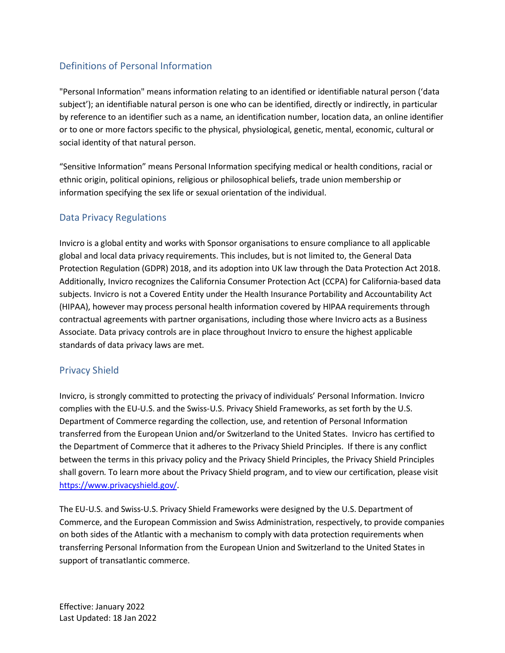# Definitions of Personal Information

"Personal Information" means information relating to an identified or identifiable natural person ('data subject'); an identifiable natural person is one who can be identified, directly or indirectly, in particular by reference to an identifier such as a name, an identification number, location data, an online identifier or to one or more factors specific to the physical, physiological, genetic, mental, economic, cultural or social identity of that natural person.

"Sensitive Information" means Personal Information specifying medical or health conditions, racial or ethnic origin, political opinions, religious or philosophical beliefs, trade union membership or information specifying the sex life or sexual orientation of the individual.

#### <span id="page-1-0"></span>Data Privacy Regulations

Invicro is a global entity and works with Sponsor organisations to ensure compliance to all applicable global and local data privacy requirements. This includes, but is not limited to, the General Data Protection Regulation (GDPR) 2018, and its adoption into UK law through the Data Protection Act 2018. Additionally, Invicro recognizes the California Consumer Protection Act (CCPA) for California-based data subjects. Invicro is not a Covered Entity under the Health Insurance Portability and Accountability Act (HIPAA), however may process personal health information covered by HIPAA requirements through contractual agreements with partner organisations, including those where Invicro acts as a Business Associate. Data privacy controls are in place throughout Invicro to ensure the highest applicable standards of data privacy laws are met.

#### <span id="page-1-1"></span>Privacy Shield

Invicro, is strongly committed to protecting the privacy of individuals' Personal Information. Invicro complies with the EU-U.S. and the Swiss-U.S. Privacy Shield Frameworks, as set forth by the U.S. Department of Commerce regarding the collection, use, and retention of Personal Information transferred from the European Union and/or Switzerland to the United States. Invicro has certified to the Department of Commerce that it adheres to the Privacy Shield Principles. If there is any conflict between the terms in this privacy policy and the Privacy Shield Principles, the Privacy Shield Principles shall govern. To learn more about the Privacy Shield program, and to view our certification, please visit [https://www.privacyshield.gov/.](https://www.privacyshield.gov/)

The EU-U.S. and Swiss-U.S. Privacy Shield Frameworks were designed by the U.S. Department of Commerce, and the European Commission and Swiss Administration, respectively, to provide companies on both sides of the Atlantic with a mechanism to comply with data protection requirements when transferring Personal Information from the European Union and Switzerland to the United States in support of transatlantic commerce.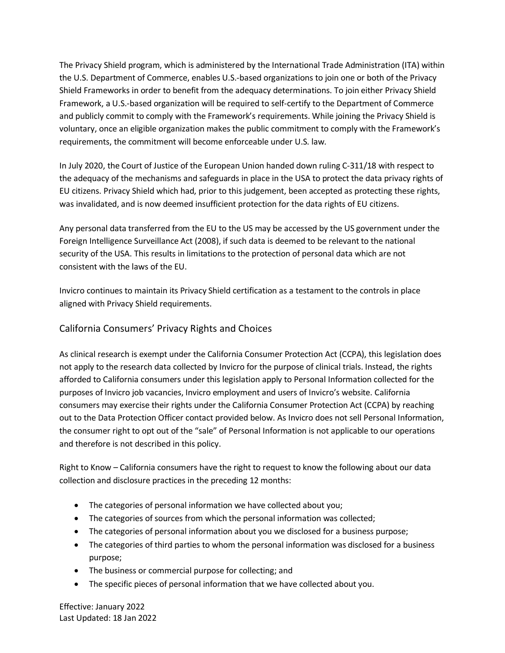The Privacy Shield program, which is administered by the International Trade Administration (ITA) within the U.S. Department of Commerce, enables U.S.-based organizations to join one or both of the Privacy Shield Frameworks in order to benefit from the adequacy determinations. To join either Privacy Shield Framework, a U.S.-based organization will be required to self-certify to the Department of Commerce and publicly commit to comply with the Framework's requirements. While joining the Privacy Shield is voluntary, once an eligible organization makes the public commitment to comply with the Framework's requirements, the commitment will become enforceable under U.S. law.

In July 2020, the Court of Justice of the European Union handed down ruling C-311/18 with respect to the adequacy of the mechanisms and safeguards in place in the USA to protect the data privacy rights of EU citizens. Privacy Shield which had, prior to this judgement, been accepted as protecting these rights, was invalidated, and is now deemed insufficient protection for the data rights of EU citizens.

Any personal data transferred from the EU to the US may be accessed by the US government under the Foreign Intelligence Surveillance Act (2008), if such data is deemed to be relevant to the national security of the USA. This results in limitations to the protection of personal data which are not consistent with the laws of the EU.

Invicro continues to maintain its Privacy Shield certification as a testament to the controls in place aligned with Privacy Shield requirements.

# California Consumers' Privacy Rights and Choices

As clinical research is exempt under the California Consumer Protection Act (CCPA), this legislation does not apply to the research data collected by Invicro for the purpose of clinical trials. Instead, the rights afforded to California consumers under this legislation apply to Personal Information collected for the purposes of Invicro job vacancies, Invicro employment and users of Invicro's website. California consumers may exercise their rights under the California Consumer Protection Act (CCPA) by reaching out to the Data Protection Officer contact provided below. As Invicro does not sell Personal Information, the consumer right to opt out of the "sale" of Personal Information is not applicable to our operations and therefore is not described in this policy.

Right to Know *–* California consumers have the right to request to know the following about our data collection and disclosure practices in the preceding 12 months:

- The categories of personal information we have collected about you;
- The categories of sources from which the personal information was collected;
- The categories of personal information about you we disclosed for a business purpose;
- The categories of third parties to whom the personal information was disclosed for a business purpose;
- The business or commercial purpose for collecting; and
- The specific pieces of personal information that we have collected about you.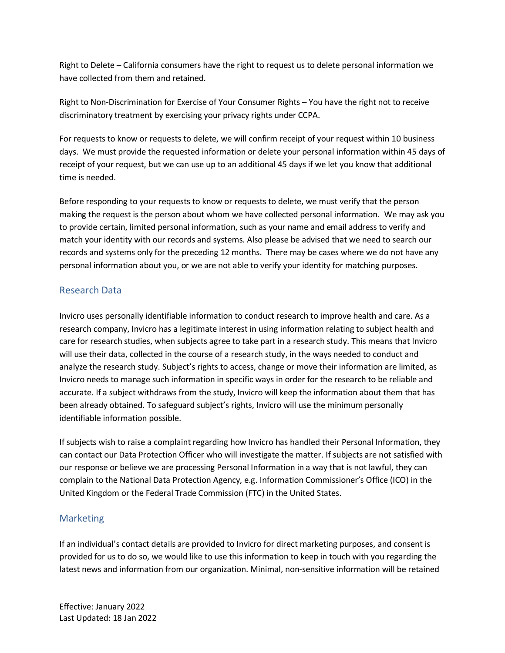Right to Delete *–* California consumers have the right to request us to delete personal information we have collected from them and retained.

Right to Non-Discrimination for Exercise of Your Consumer Rights – You have the right not to receive discriminatory treatment by exercising your privacy rights under CCPA.

For requests to know or requests to delete, we will confirm receipt of your request within 10 business days. We must provide the requested information or delete your personal information within 45 days of receipt of your request, but we can use up to an additional 45 days if we let you know that additional time is needed.

Before responding to your requests to know or requests to delete, we must verify that the person making the request is the person about whom we have collected personal information. We may ask you to provide certain, limited personal information, such as your name and email address to verify and match your identity with our records and systems. Also please be advised that we need to search our records and systems only for the preceding 12 months. There may be cases where we do not have any personal information about you, or we are not able to verify your identity for matching purposes.

#### <span id="page-3-0"></span>Research Data

Invicro uses personally identifiable information to conduct research to improve health and care. As a research company, Invicro has a legitimate interest in using information relating to subject health and care for research studies, when subjects agree to take part in a research study. This means that Invicro will use their data, collected in the course of a research study, in the ways needed to conduct and analyze the research study. Subject's rights to access, change or move their information are limited, as Invicro needs to manage such information in specific ways in order for the research to be reliable and accurate. If a subject withdraws from the study, Invicro will keep the information about them that has been already obtained. To safeguard subject's rights, Invicro will use the minimum personally identifiable information possible.

If subjects wish to raise a complaint regarding how Invicro has handled their Personal Information, they can contact our Data Protection Officer who will investigate the matter. If subjects are not satisfied with our response or believe we are processing Personal Information in a way that is not lawful, they can complain to the National Data Protection Agency, e.g. Information Commissioner's Office (ICO) in the United Kingdom or the Federal Trade Commission (FTC) in the United States.

#### <span id="page-3-1"></span>**Marketing**

If an individual's contact details are provided to Invicro for direct marketing purposes, and consent is provided for us to do so, we would like to use this information to keep in touch with you regarding the latest news and information from our organization. Minimal, non-sensitive information will be retained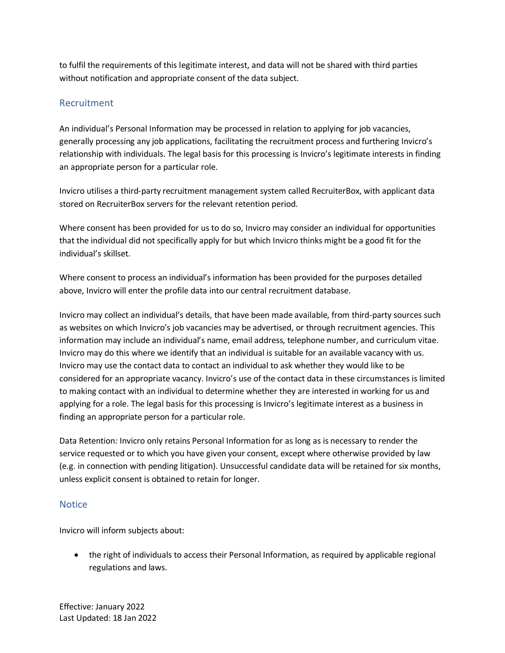to fulfil the requirements of this legitimate interest, and data will not be shared with third parties without notification and appropriate consent of the data subject.

### <span id="page-4-0"></span>Recruitment

An individual's Personal Information may be processed in relation to applying for job vacancies, generally processing any job applications, facilitating the recruitment process and furthering Invicro's relationship with individuals. The legal basis for this processing is Invicro's legitimate interests in finding an appropriate person for a particular role.

Invicro utilises a third-party recruitment management system called RecruiterBox, with applicant data stored on RecruiterBox servers for the relevant retention period.

Where consent has been provided for us to do so, Invicro may consider an individual for opportunities that the individual did not specifically apply for but which Invicro thinks might be a good fit for the individual's skillset.

Where consent to process an individual's information has been provided for the purposes detailed above, Invicro will enter the profile data into our central recruitment database.

Invicro may collect an individual's details, that have been made available, from third-party sources such as websites on which Invicro's job vacancies may be advertised, or through recruitment agencies. This information may include an individual's name, email address, telephone number, and curriculum vitae. Invicro may do this where we identify that an individual is suitable for an available vacancy with us. Invicro may use the contact data to contact an individual to ask whether they would like to be considered for an appropriate vacancy. Invicro's use of the contact data in these circumstances is limited to making contact with an individual to determine whether they are interested in working for us and applying for a role. The legal basis for this processing is Invicro's legitimate interest as a business in finding an appropriate person for a particular role.

Data Retention: Invicro only retains Personal Information for as long as is necessary to render the service requested or to which you have given your consent, except where otherwise provided by law (e.g. in connection with pending litigation). Unsuccessful candidate data will be retained for six months, unless explicit consent is obtained to retain for longer.

#### <span id="page-4-1"></span>**Notice**

Invicro will inform subjects about:

• the right of individuals to access their Personal Information, as required by applicable regional regulations and laws.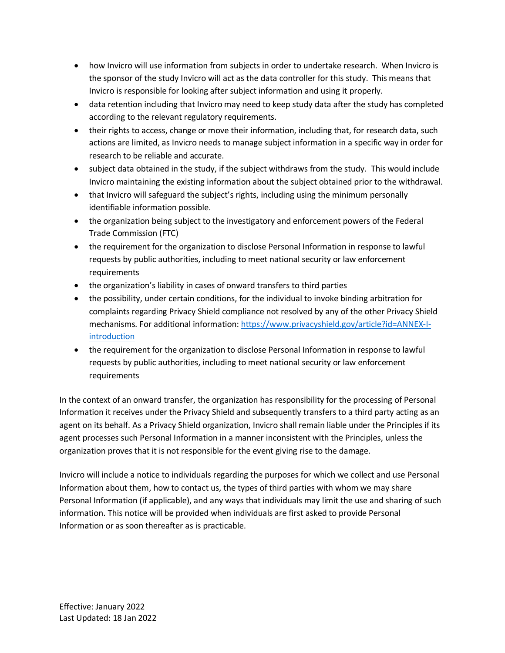- how Invicro will use information from subjects in order to undertake research. When Invicro is the sponsor of the study Invicro will act as the data controller for this study. This means that Invicro is responsible for looking after subject information and using it properly.
- data retention including that Invicro may need to keep study data after the study has completed according to the relevant regulatory requirements.
- their rights to access, change or move their information, including that, for research data, such actions are limited, as Invicro needs to manage subject information in a specific way in order for research to be reliable and accurate.
- subject data obtained in the study, if the subject withdraws from the study. This would include Invicro maintaining the existing information about the subject obtained prior to the withdrawal.
- that Invicro will safeguard the subject's rights, including using the minimum personally identifiable information possible.
- the organization being subject to the investigatory and enforcement powers of the Federal Trade Commission (FTC)
- the requirement for the organization to disclose Personal Information in response to lawful requests by public authorities, including to meet national security or law enforcement requirements
- the organization's liability in cases of onward transfers to third parties
- the possibility, under certain conditions, for the individual to invoke binding arbitration for complaints regarding Privacy Shield compliance not resolved by any of the other Privacy Shield mechanisms. For additional information: [https://www.privacyshield.gov/article?id=ANNEX-I](https://www.privacyshield.gov/article?id=ANNEX-I-introduction)[introduction](https://www.privacyshield.gov/article?id=ANNEX-I-introduction)
- the requirement for the organization to disclose Personal Information in response to lawful requests by public authorities, including to meet national security or law enforcement requirements

In the context of an onward transfer, the organization has responsibility for the processing of Personal Information it receives under the Privacy Shield and subsequently transfers to a third party acting as an agent on its behalf. As a Privacy Shield organization, Invicro shall remain liable under the Principles if its agent processes such Personal Information in a manner inconsistent with the Principles, unless the organization proves that it is not responsible for the event giving rise to the damage.

Invicro will include a notice to individuals regarding the purposes for which we collect and use Personal Information about them, how to contact us, the types of third parties with whom we may share Personal Information (if applicable), and any ways that individuals may limit the use and sharing of such information. This notice will be provided when individuals are first asked to provide Personal Information or as soon thereafter as is practicable.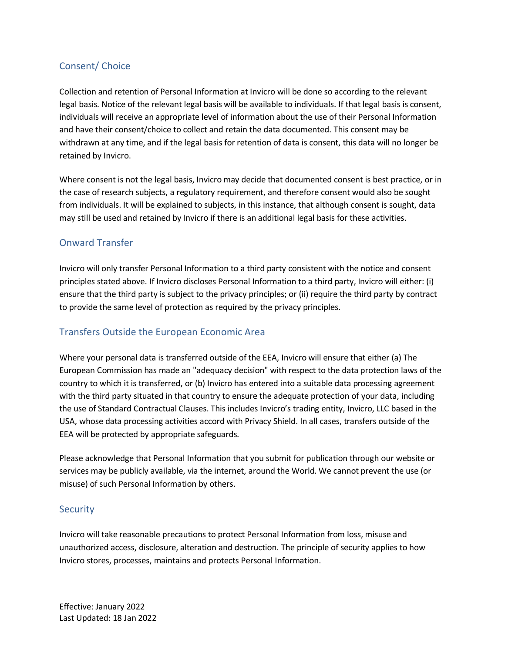# <span id="page-6-0"></span>Consent/ Choice

Collection and retention of Personal Information at Invicro will be done so according to the relevant legal basis. Notice of the relevant legal basis will be available to individuals. If that legal basis is consent, individuals will receive an appropriate level of information about the use of their Personal Information and have their consent/choice to collect and retain the data documented. This consent may be withdrawn at any time, and if the legal basis for retention of data is consent, this data will no longer be retained by Invicro.

Where consent is not the legal basis, Invicro may decide that documented consent is best practice, or in the case of research subjects, a regulatory requirement, and therefore consent would also be sought from individuals. It will be explained to subjects, in this instance, that although consent is sought, data may still be used and retained by Invicro if there is an additional legal basis for these activities.

## <span id="page-6-1"></span>Onward Transfer

Invicro will only transfer Personal Information to a third party consistent with the notice and consent principles stated above. If Invicro discloses Personal Information to a third party, Invicro will either: (i) ensure that the third party is subject to the privacy principles; or (ii) require the third party by contract to provide the same level of protection as required by the privacy principles.

# <span id="page-6-2"></span>Transfers Outside the European Economic Area

Where your personal data is transferred outside of the EEA, Invicro will ensure that either (a) The European Commission has made an "adequacy decision" with respect to the data protection laws of the country to which it is transferred, or (b) Invicro has entered into a suitable data processing agreement with the third party situated in that country to ensure the adequate protection of your data, including the use of Standard Contractual Clauses. This includes Invicro's trading entity, Invicro, LLC based in the USA, whose data processing activities accord with Privacy Shield. In all cases, transfers outside of the EEA will be protected by appropriate safeguards.

Please acknowledge that Personal Information that you submit for publication through our website or services may be publicly available, via the internet, around the World. We cannot prevent the use (or misuse) of such Personal Information by others.

#### <span id="page-6-3"></span>**Security**

Invicro will take reasonable precautions to protect Personal Information from loss, misuse and unauthorized access, disclosure, alteration and destruction. The principle of security applies to how Invicro stores, processes, maintains and protects Personal Information.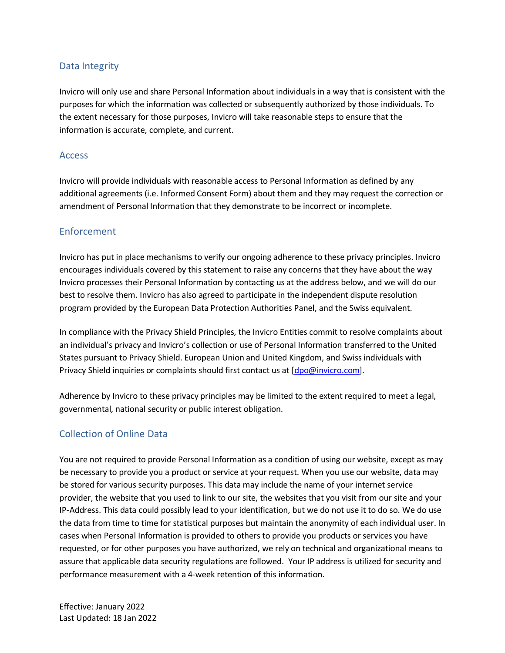### <span id="page-7-0"></span>Data Integrity

Invicro will only use and share Personal Information about individuals in a way that is consistent with the purposes for which the information was collected or subsequently authorized by those individuals. To the extent necessary for those purposes, Invicro will take reasonable steps to ensure that the information is accurate, complete, and current.

#### <span id="page-7-1"></span>Access

Invicro will provide individuals with reasonable access to Personal Information as defined by any additional agreements (i.e. Informed Consent Form) about them and they may request the correction or amendment of Personal Information that they demonstrate to be incorrect or incomplete.

#### <span id="page-7-2"></span>Enforcement

Invicro has put in place mechanisms to verify our ongoing adherence to these privacy principles. Invicro encourages individuals covered by this statement to raise any concerns that they have about the way Invicro processes their Personal Information by contacting us at the address below, and we will do our best to resolve them. Invicro has also agreed to participate in the independent dispute resolution program provided by the European Data Protection Authorities Panel, and the Swiss equivalent.

In compliance with the Privacy Shield Principles, the Invicro Entities commit to resolve complaints about an individual's privacy and Invicro's collection or use of Personal Information transferred to the United States pursuant to Privacy Shield. European Union and United Kingdom, and Swiss individuals with Privacy Shield inquiries or complaints should first contact us at [dpo@invicro.com].

Adherence by Invicro to these privacy principles may be limited to the extent required to meet a legal, governmental, national security or public interest obligation.

#### <span id="page-7-3"></span>Collection of Online Data

You are not required to provide Personal Information as a condition of using our website, except as may be necessary to provide you a product or service at your request. When you use our website, data may be stored for various security purposes. This data may include the name of your internet service provider, the website that you used to link to our site, the websites that you visit from our site and your IP-Address. This data could possibly lead to your identification, but we do not use it to do so. We do use the data from time to time for statistical purposes but maintain the anonymity of each individual user. In cases when Personal Information is provided to others to provide you products or services you have requested, or for other purposes you have authorized, we rely on technical and organizational means to assure that applicable data security regulations are followed. Your IP address is utilized for security and performance measurement with a 4-week retention of this information.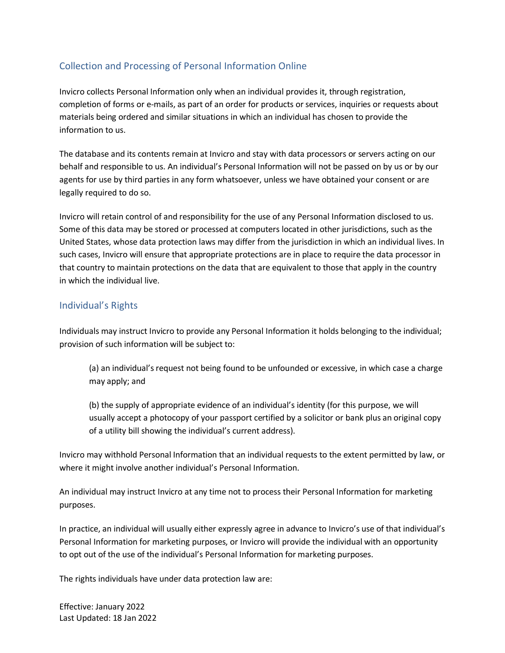# <span id="page-8-0"></span>Collection and Processing of Personal Information Online

Invicro collects Personal Information only when an individual provides it, through registration, completion of forms or e-mails, as part of an order for products or services, inquiries or requests about materials being ordered and similar situations in which an individual has chosen to provide the information to us.

The database and its contents remain at Invicro and stay with data processors or servers acting on our behalf and responsible to us. An individual's Personal Information will not be passed on by us or by our agents for use by third parties in any form whatsoever, unless we have obtained your consent or are legally required to do so.

Invicro will retain control of and responsibility for the use of any Personal Information disclosed to us. Some of this data may be stored or processed at computers located in other jurisdictions, such as the United States, whose data protection laws may differ from the jurisdiction in which an individual lives. In such cases, Invicro will ensure that appropriate protections are in place to require the data processor in that country to maintain protections on the data that are equivalent to those that apply in the country in which the individual live.

## <span id="page-8-1"></span>Individual's Rights

Individuals may instruct Invicro to provide any Personal Information it holds belonging to the individual; provision of such information will be subject to:

(a) an individual's request not being found to be unfounded or excessive, in which case a charge may apply; and

(b) the supply of appropriate evidence of an individual's identity (for this purpose, we will usually accept a photocopy of your passport certified by a solicitor or bank plus an original copy of a utility bill showing the individual's current address).

Invicro may withhold Personal Information that an individual requests to the extent permitted by law, or where it might involve another individual's Personal Information.

An individual may instruct Invicro at any time not to process their Personal Information for marketing purposes.

In practice, an individual will usually either expressly agree in advance to Invicro's use of that individual's Personal Information for marketing purposes, or Invicro will provide the individual with an opportunity to opt out of the use of the individual's Personal Information for marketing purposes.

The rights individuals have under data protection law are: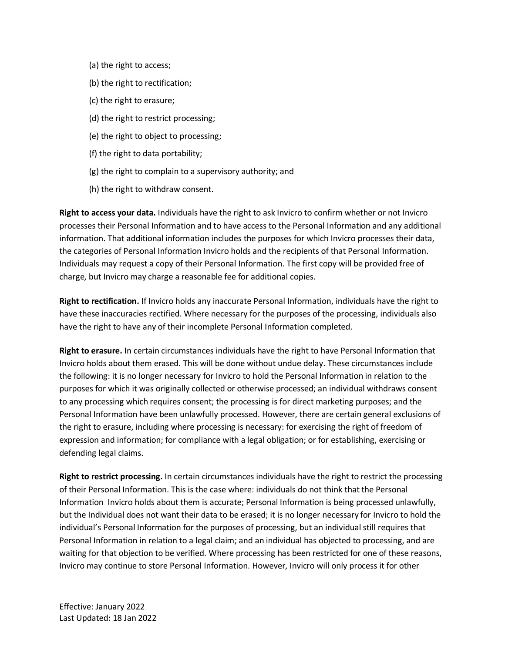- (a) the right to access;
- (b) the right to rectification;
- (c) the right to erasure;
- (d) the right to restrict processing;
- (e) the right to object to processing;
- (f) the right to data portability;
- (g) the right to complain to a supervisory authority; and
- (h) the right to withdraw consent.

**Right to access your data.** Individuals have the right to ask Invicro to confirm whether or not Invicro processes their Personal Information and to have access to the Personal Information and any additional information. That additional information includes the purposes for which Invicro processes their data, the categories of Personal Information Invicro holds and the recipients of that Personal Information. Individuals may request a copy of their Personal Information. The first copy will be provided free of charge, but Invicro may charge a reasonable fee for additional copies.

**Right to rectification.** If Invicro holds any inaccurate Personal Information, individuals have the right to have these inaccuracies rectified. Where necessary for the purposes of the processing, individuals also have the right to have any of their incomplete Personal Information completed.

**Right to erasure.** In certain circumstances individuals have the right to have Personal Information that Invicro holds about them erased. This will be done without undue delay. These circumstances include the following: it is no longer necessary for Invicro to hold the Personal Information in relation to the purposes for which it was originally collected or otherwise processed; an individual withdraws consent to any processing which requires consent; the processing is for direct marketing purposes; and the Personal Information have been unlawfully processed. However, there are certain general exclusions of the right to erasure, including where processing is necessary: for exercising the right of freedom of expression and information; for compliance with a legal obligation; or for establishing, exercising or defending legal claims.

**Right to restrict processing.** In certain circumstances individuals have the right to restrict the processing of their Personal Information. This is the case where: individuals do not think that the Personal Information Invicro holds about them is accurate; Personal Information is being processed unlawfully, but the Individual does not want their data to be erased; it is no longer necessary for Invicro to hold the individual's Personal Information for the purposes of processing, but an individual still requires that Personal Information in relation to a legal claim; and an individual has objected to processing, and are waiting for that objection to be verified. Where processing has been restricted for one of these reasons, Invicro may continue to store Personal Information. However, Invicro will only process it for other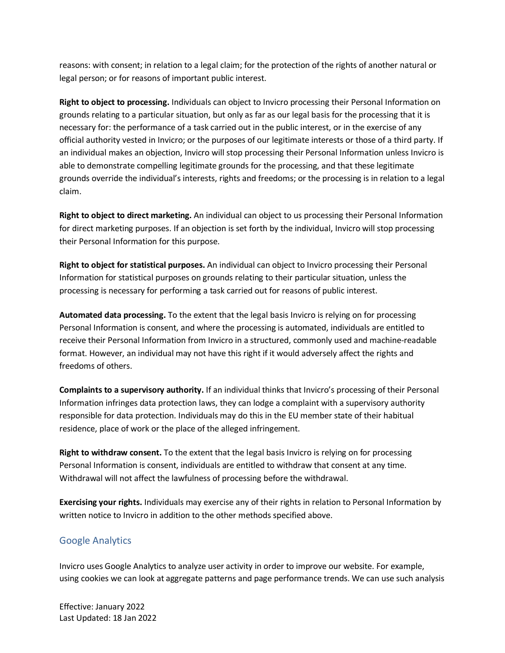reasons: with consent; in relation to a legal claim; for the protection of the rights of another natural or legal person; or for reasons of important public interest.

**Right to object to processing.** Individuals can object to Invicro processing their Personal Information on grounds relating to a particular situation, but only as far as our legal basis for the processing that it is necessary for: the performance of a task carried out in the public interest, or in the exercise of any official authority vested in Invicro; or the purposes of our legitimate interests or those of a third party. If an individual makes an objection, Invicro will stop processing their Personal Information unless Invicro is able to demonstrate compelling legitimate grounds for the processing, and that these legitimate grounds override the individual's interests, rights and freedoms; or the processing is in relation to a legal claim.

**Right to object to direct marketing.** An individual can object to us processing their Personal Information for direct marketing purposes. If an objection is set forth by the individual, Invicro will stop processing their Personal Information for this purpose.

**Right to object for statistical purposes.** An individual can object to Invicro processing their Personal Information for statistical purposes on grounds relating to their particular situation, unless the processing is necessary for performing a task carried out for reasons of public interest.

**Automated data processing.** To the extent that the legal basis Invicro is relying on for processing Personal Information is consent, and where the processing is automated, individuals are entitled to receive their Personal Information from Invicro in a structured, commonly used and machine-readable format. However, an individual may not have this right if it would adversely affect the rights and freedoms of others.

**Complaints to a supervisory authority.** If an individual thinks that Invicro's processing of their Personal Information infringes data protection laws, they can lodge a complaint with a supervisory authority responsible for data protection. Individuals may do this in the EU member state of their habitual residence, place of work or the place of the alleged infringement.

**Right to withdraw consent.** To the extent that the legal basis Invicro is relying on for processing Personal Information is consent, individuals are entitled to withdraw that consent at any time. Withdrawal will not affect the lawfulness of processing before the withdrawal.

**Exercising your rights.** Individuals may exercise any of their rights in relation to Personal Information by written notice to Invicro in addition to the other methods specified above.

# <span id="page-10-0"></span>Google Analytics

Invicro uses Google Analytics to analyze user activity in order to improve our website. For example, using cookies we can look at aggregate patterns and page performance trends. We can use such analysis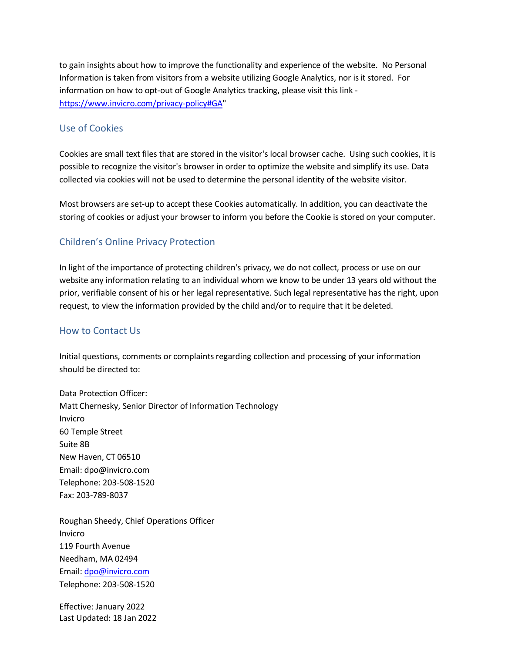to gain insights about how to improve the functionality and experience of the website. No Personal Information is taken from visitors from a website utilizing Google Analytics, nor is it stored. For information on how to opt-out of Google Analytics tracking, please visit this link [https://www.invicro.com/privacy-policy#GA"](https://www.invicro.com/privacy-policy#GA)

#### <span id="page-11-0"></span>Use of Cookies

Cookies are small text files that are stored in the visitor's local browser cache. Using such cookies, it is possible to recognize the visitor's browser in order to optimize the website and simplify its use. Data collected via cookies will not be used to determine the personal identity of the website visitor.

Most browsers are set-up to accept these Cookies automatically. In addition, you can deactivate the storing of cookies or adjust your browser to inform you before the Cookie is stored on your computer.

# <span id="page-11-1"></span>Children's Online Privacy Protection

In light of the importance of protecting children's privacy, we do not collect, process or use on our website any information relating to an individual whom we know to be under 13 years old without the prior, verifiable consent of his or her legal representative. Such legal representative has the right, upon request, to view the information provided by the child and/or to require that it be deleted.

#### <span id="page-11-2"></span>How to Contact Us

Initial questions, comments or complaints regarding collection and processing of your information should be directed to:

Data Protection Officer: Matt Chernesky, Senior Director of Information Technology Invicro 60 Temple Street Suite 8B New Haven, CT 06510 Email: dpo@invicro.com Telephone: 203-508-1520 Fax: 203-789-8037

Roughan Sheedy, Chief Operations Officer Invicro 119 Fourth Avenue Needham, MA 02494 Email: [dpo@invicro.com](mailto:dpo@invicro.com) Telephone: 203-508-1520